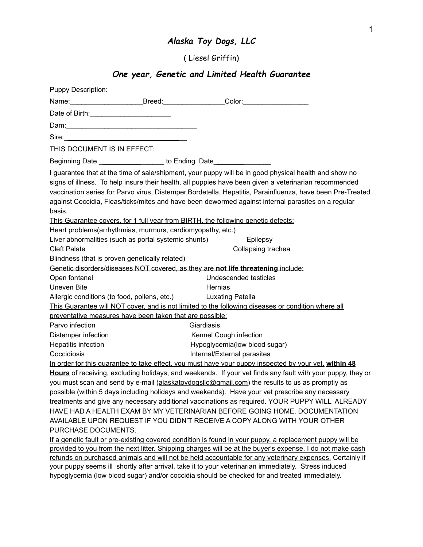## *Alaska Toy Dogs, LLC*

( Liesel Griffin)

## *One year, Genetic and Limited Health Guarantee*

| <b>Puppy Description:</b>                                                                                                 |                                                                                                                                                                                                                                                                                                                                                                                                                                    |
|---------------------------------------------------------------------------------------------------------------------------|------------------------------------------------------------------------------------------------------------------------------------------------------------------------------------------------------------------------------------------------------------------------------------------------------------------------------------------------------------------------------------------------------------------------------------|
|                                                                                                                           | Name: ___________________________Breed: ______________________Color: _______________________________                                                                                                                                                                                                                                                                                                                               |
| Date of Birth: <u>Cambridge Community Community Community Community Community Community Community Community Community</u> |                                                                                                                                                                                                                                                                                                                                                                                                                                    |
|                                                                                                                           |                                                                                                                                                                                                                                                                                                                                                                                                                                    |
|                                                                                                                           |                                                                                                                                                                                                                                                                                                                                                                                                                                    |
| THIS DOCUMENT IS IN EFFECT:                                                                                               |                                                                                                                                                                                                                                                                                                                                                                                                                                    |
| Beginning Date ____________________ to Ending Date______________________________                                          |                                                                                                                                                                                                                                                                                                                                                                                                                                    |
| basis.                                                                                                                    | I guarantee that at the time of sale/shipment, your puppy will be in good physical health and show no<br>signs of illness. To help insure their health, all puppies have been given a veterinarian recommended<br>vaccination series for Parvo virus, Distemper, Bordetella, Hepatitis, Parainfluenza, have been Pre-Treated<br>against Coccidia, Fleas/ticks/mites and have been dewormed against internal parasites on a regular |
|                                                                                                                           | This Guarantee covers, for 1 full year from BIRTH, the following genetic defects:                                                                                                                                                                                                                                                                                                                                                  |
| Heart problems(arrhythmias, murmurs, cardiomyopathy, etc.)                                                                |                                                                                                                                                                                                                                                                                                                                                                                                                                    |
| Liver abnormalities (such as portal systemic shunts)                                                                      | Epilepsy                                                                                                                                                                                                                                                                                                                                                                                                                           |
| <b>Cleft Palate</b>                                                                                                       | Collapsing trachea                                                                                                                                                                                                                                                                                                                                                                                                                 |
| Blindness (that is proven genetically related)                                                                            |                                                                                                                                                                                                                                                                                                                                                                                                                                    |
|                                                                                                                           | Genetic disorders/diseases NOT covered, as they are not life threatening include:                                                                                                                                                                                                                                                                                                                                                  |
| Open fontanel                                                                                                             | Undescended testicles                                                                                                                                                                                                                                                                                                                                                                                                              |
| Uneven Bite                                                                                                               | Hernias                                                                                                                                                                                                                                                                                                                                                                                                                            |
| Allergic conditions (to food, pollens, etc.)                                                                              | Luxating Patella                                                                                                                                                                                                                                                                                                                                                                                                                   |
|                                                                                                                           | This Guarantee will NOT cover, and is not limited to the following diseases or condition where all                                                                                                                                                                                                                                                                                                                                 |
| preventative measures have been taken that are possible:                                                                  |                                                                                                                                                                                                                                                                                                                                                                                                                                    |
| Parvo infection                                                                                                           | Giardiasis                                                                                                                                                                                                                                                                                                                                                                                                                         |
| Distemper infection                                                                                                       | Kennel Cough infection                                                                                                                                                                                                                                                                                                                                                                                                             |
| Hepatitis infection                                                                                                       | Hypoglycemia(low blood sugar)                                                                                                                                                                                                                                                                                                                                                                                                      |
| Coccidiosis                                                                                                               | Internal/External parasites                                                                                                                                                                                                                                                                                                                                                                                                        |
|                                                                                                                           | In order for this guarantee to take effect, you must have your puppy inspected by your vet, within 48                                                                                                                                                                                                                                                                                                                              |
|                                                                                                                           | Hours of receiving, excluding holidays, and weekends. If your vet finds any fault with your puppy, they or                                                                                                                                                                                                                                                                                                                         |
|                                                                                                                           | you must scan and send by e-mail (alaskatoydogsllc@gmail.com) the results to us as promptly as                                                                                                                                                                                                                                                                                                                                     |
|                                                                                                                           | possible (within 5 days including holidays and weekends). Have your vet prescribe any necessary                                                                                                                                                                                                                                                                                                                                    |
|                                                                                                                           | treatments and give any necessary additional vaccinations as required. YOUR PUPPY WILL ALREADY                                                                                                                                                                                                                                                                                                                                     |
|                                                                                                                           | HAVE HAD A HEALTH EXAM BY MY VETERINARIAN BEFORE GOING HOME. DOCUMENTATION                                                                                                                                                                                                                                                                                                                                                         |
|                                                                                                                           | AVAILABLE UPON REQUEST IF YOU DIDN'T RECEIVE A COPY ALONG WITH YOUR OTHER                                                                                                                                                                                                                                                                                                                                                          |
| PURCHASE DOCUMENTS.                                                                                                       |                                                                                                                                                                                                                                                                                                                                                                                                                                    |
|                                                                                                                           | If a genetic fault or pre-existing covered condition is found in your puppy, a replacement puppy will be                                                                                                                                                                                                                                                                                                                           |
|                                                                                                                           | provided to you from the next litter. Shipping charges will be at the buyer's expense. I do not make cash                                                                                                                                                                                                                                                                                                                          |
|                                                                                                                           | refunds on purchased animals and will not be held accountable for any veterinary expenses. Certainly if                                                                                                                                                                                                                                                                                                                            |

your puppy seems ill shortly after arrival, take it to your veterinarian immediately. Stress induced hypoglycemia (low blood sugar) and/or coccidia should be checked for and treated immediately.